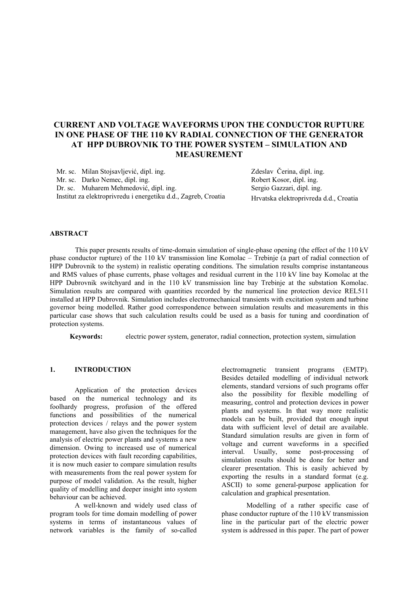# **CURRENT AND VOLTAGE WAVEFORMS UPON THE CONDUCTOR RUPTURE IN ONE PHASE OF THE 110 KV RADIAL CONNECTION OF THE GENERATOR AT HPP DUBROVNIK TO THE POWER SYSTEM – SIMULATION AND MEASUREMENT**

Mr. sc. Milan Stojsavljević, dipl. ing. Mr. sc. Darko Nemec, dipl. ing. Dr. sc. Muharem Mehmedović, dipl. ing. Institut za elektroprivredu i energetiku d.d., Zagreb, Croatia Zdeslav Čerina, dipl. ing. Robert Kosor, dipl. ing. Sergio Gazzari, dipl. ing. Hrvatska elektroprivreda d.d., Croatia

## **ABSTRACT**

 This paper presents results of time-domain simulation of single-phase opening (the effect of the 110 kV phase conductor rupture) of the 110 kV transmission line Komolac – Trebinje (a part of radial connection of HPP Dubrovnik to the system) in realistic operating conditions. The simulation results comprise instantaneous and RMS values of phase currents, phase voltages and residual current in the 110 kV line bay Komolac at the HPP Dubrovnik switchyard and in the 110 kV transmission line bay Trebinje at the substation Komolac. Simulation results are compared with quantities recorded by the numerical line protection device REL511 installed at HPP Dubrovnik. Simulation includes electromechanical transients with excitation system and turbine governor being modelled. Rather good correspondence between simulation results and measurements in this particular case shows that such calculation results could be used as a basis for tuning and coordination of protection systems.

**Keywords:** electric power system, generator, radial connection, protection system, simulation

### **1. INTRODUCTION**

Application of the protection devices based on the numerical technology and its foolhardy progress, profusion of the offered functions and possibilities of the numerical protection devices / relays and the power system management, have also given the techniques for the analysis of electric power plants and systems a new dimension. Owing to increased use of numerical protection devices with fault recording capabilities, it is now much easier to compare simulation results with measurements from the real power system for purpose of model validation. As the result, higher quality of modelling and deeper insight into system behaviour can be achieved.

A well-known and widely used class of program tools for time domain modelling of power systems in terms of instantaneous values of network variables is the family of so-called

electromagnetic transient programs (EMTP). Besides detailed modelling of individual network elements, standard versions of such programs offer also the possibility for flexible modelling of measuring, control and protection devices in power plants and systems. In that way more realistic models can be built, provided that enough input data with sufficient level of detail are available. Standard simulation results are given in form of voltage and current waveforms in a specified interval. Usually, some post-processing of simulation results should be done for better and clearer presentation. This is easily achieved by exporting the results in a standard format (e.g. ASCII) to some general-purpose application for calculation and graphical presentation.

Modelling of a rather specific case of phase conductor rupture of the 110 kV transmission line in the particular part of the electric power system is addressed in this paper. The part of power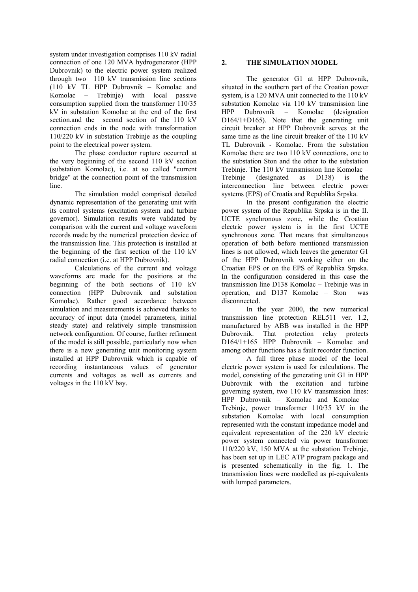system under investigation comprises 110 kV radial connection of one 120 MVA hydrogenerator (HPP Dubrovnik) to the electric power system realized through two 110 kV transmission line sections (110 kV TL HPP Dubrovnik – Komolac and Komolac – Trebinje) with local passive consumption supplied from the transformer 110/35 kV in substation Komolac at the end of the first section.and the second section of the 110 kV connection ends in the node with transformation 110/220 kV in substation Trebinje as the coupling point to the electrical power system.

The phase conductor rupture occurred at the very beginning of the second 110 kV section (substation Komolac), i.e. at so called "current bridge" at the connection point of the transmission line.

The simulation model comprised detailed dynamic representation of the generating unit with its control systems (excitation system and turbine governor). Simulation results were validated by comparison with the current and voltage waveform records made by the numerical protection device of the transmission line. This protection is installed at the beginning of the first section of the 110 kV radial connection (i.e. at HPP Dubrovnik).

Calculations of the current and voltage waveforms are made for the positions at the beginning of the both sections of 110 kV connection (HPP Dubrovnik and substation Komolac). Rather good accordance between simulation and measurements is achieved thanks to accuracy of input data (model parameters, initial steady state) and relatively simple transmission network configuration. Of course, further refinment of the model is still possible, particularly now when there is a new generating unit monitoring system installed at HPP Dubrovnik which is capable of recording instantaneous values of generator currents and voltages as well as currents and voltages in the 110 kV bay.

# **2. THE SIMULATION MODEL**

The generator G1 at HPP Dubrovnik, situated in the southern part of the Croatian power system, is a 120 MVA unit connected to the 110 kV substation Komolac via 110 kV transmission line HPP Dubrovnik – Komolac (designation D<sub>164</sub>/1+D<sub>165</sub>). Note that the generating unit circuit breaker at HPP Dubrovnik serves at the same time as the line circuit breaker of the 110 kV TL Dubrovnik - Komolac. From the substation Komolac there are two 110 kV connections, one to the substation Ston and the other to the substation Trebinje. The 110 kV transmission line Komolac – Trebinje (designated as D138) is the interconnection line between electric power systems (EPS) of Croatia and Republika Srpska.

In the present configuration the electric power system of the Republika Srpska is in the II. UCTE synchronous zone, while the Croatian electric power system is in the first UCTE synchronous zone. That means that simultaneous operation of both before mentioned transmission lines is not allowed, which leaves the generator G1 of the HPP Dubrovnik working either on the Croatian EPS or on the EPS of Republika Srpska. In the configuration considered in this case the transmission line D138 Komolac – Trebinje was in operation, and D137 Komolac – Ston was disconnected.

In the year 2000, the new numerical transmission line protection REL511 ver. 1.2, manufactured by ABB was installed in the HPP Dubrovnik. That protection relay protects D164/1+165 HPP Dubrovnik – Komolac and among other functions has a fault recorder function.

A full three phase model of the local electric power system is used for calculations. The model, consisting of the generating unit G1 in HPP Dubrovnik with the excitation and turbine governing system, two 110 kV transmission lines: HPP Dubrovnik – Komolac and Komolac – Trebinje, power transformer 110/35 kV in the substation Komolac with local consumption represented with the constant impedance model and equivalent representation of the 220 kV electric power system connected via power transformer 110/220 kV, 150 MVA at the substation Trebinje, has been set up in LEC ATP program package and is presented schematically in the fig. 1. The transmission lines were modelled as pi-equivalents with lumped parameters.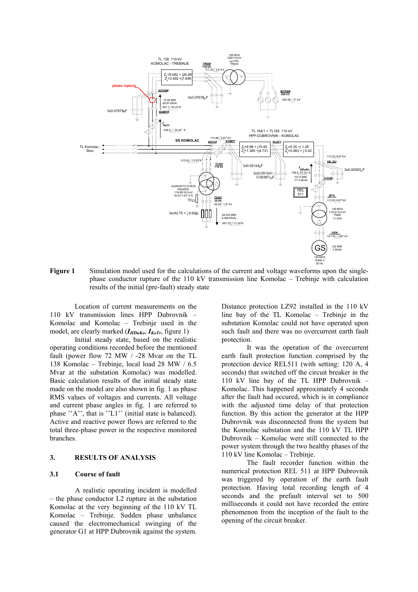

**Figure 1** Simulation model used for the calculations of the current and voltage waveforms upon the singlephase conductor rupture of the 110 kV transmission line Komolac – Trebinje with calculation results of the initial (pre-fault) steady state

Location of current measurements on the 110 kV transmission lines HPP Dubrovnik – Komolac and Komolac – Trebinje used in the model, are clearly marked ( $I_{HDuKo}$ ,  $I_{KoTr}$ , figure 1)

Initial steady state, based on the realistic operating conditions recorded before the mentioned fault (power flow 72 MW / -28 Mvar on the TL 138 Komolac – Trebinje, local load 28 MW / 6.5 Mvar at the substation Komolac) was modelled. Basic calculation results of the initial steady state made on the model are also shown in fig. 1 as phase RMS values of voltages and currents. All voltage and current phase angles in fig. 1 are referred to phase ''A'', that is ''L1'' (initial state is balanced). Active and reactive power flows are referred to the total three-phase power in the respective monitored branches.

## **3. RESULTS OF ANALYSIS**

#### **3.1 Course of fault**

A realistic operating incident is modelled – the phase conductor L2 rupture in the substation Komolac at the very beginning of the 110 kV TL Komolac – Trebinje. Sudden phase unbalance caused the electromechanical swinging of the generator G1 at HPP Dubrovnik against the system.

Distance protection LZ92 installed in the 110 kV line bay of the TL Komolac – Trebinje in the substation Komolac could not have operated upon such fault and there was no overcurrent earth fault protection.

It was the operation of the overcurrent earth fault protection function comprised by the protection device REL511 (with setting: 120 A, 4 seconds) that switched off the circuit breaker in the 110 kV line bay of the TL HPP Dubrovnik – Komolac. This happened approximately 4 seconds after the fault had occured, which is in compliance with the adjusted time delay of that protection function. By this action the generator at the HPP Dubrovnik was disconnected from the system but the Komolac substation and the 110 kV TL HPP Dubrovnik – Komolac were still connected to the power system through the two healthy phases of the 110 kV line Komolac – Trebinje.

The fault recorder function within the numerical protection REL 511 at HPP Dubrovnik was triggered by operation of the earth fault protection. Having total recording length of 4 seconds and the prefault interval set to 500 milliseconds it could not have recorded the entire phenomenon from the inception of the fault to the opening of the circuit breaker.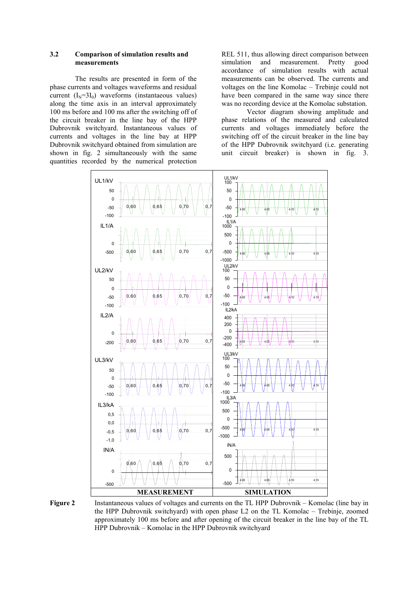## **3.2 Comparison of simulation results and measurements**

The results are presented in form of the phase currents and voltages waveforms and residual current  $(I_N=3I_0)$  waveforms (instantaeous values) along the time axis in an interval approximately 100 ms before and 100 ms after the switching off of the circuit breaker in the line bay of the HPP Dubrovnik switchyard. Instantaneous values of currents and voltages in the line bay at HPP Dubrovnik switchyard obtained from simulation are shown in fig. 2 simultaneously with the same quantities recorded by the numerical protection

REL 511, thus allowing direct comparison between simulation and measurement. Pretty good accordance of simulation results with actual measurements can be observed. The currents and voltages on the line Komolac – Trebinje could not have been compared in the same way since there was no recording device at the Komolac substation.

Vector diagram showing amplitude and phase relations of the measured and calculated currents and voltages immediately before the switching off of the circuit breaker in the line bay of the HPP Dubrovnik switchyard (i.e. generating unit circuit breaker) is shown in fig. 3.





**Figure 2** Instantaneous values of voltages and currents on the TL HPP Dubrovnik – Komolac (line bay in the HPP Dubrovnik switchyard) with open phase L2 on the TL Komolac – Trebinje, zoomed approximately 100 ms before and after opening of the circuit breaker in the line bay of the TL HPP Dubrovnik – Komolac in the HPP Dubrovnik switchyard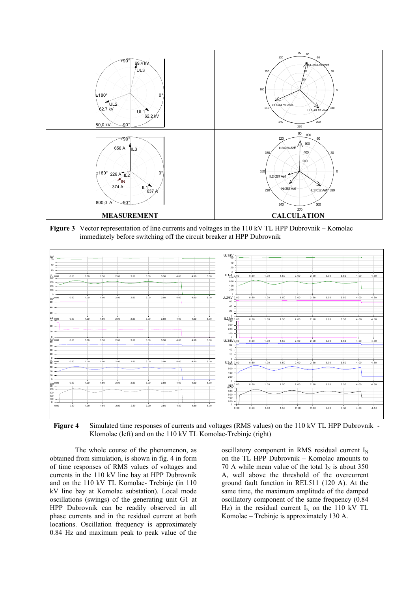

**Figure 3** Vector representation of line currents and voltages in the 110 kV TL HPP Dubrovnik – Komolac immediately before switching off the circuit breaker at HPP Dubrovnik



**Figure 4** Simulated time responses of currents and voltages (RMS values) on the 110 kV TL HPP Dubrovnik - Klomolac (left) and on the 110 kV TL Komolac-Trebinje (right)

The whole course of the phenomenon, as obtained from simulation, is shown in fig. 4 in form of time responses of RMS values of voltages and currents in the 110 kV line bay at HPP Dubrovnik and on the 110 kV TL Komolac- Trebinje (in 110 kV line bay at Komolac substation). Local mode oscillations (swings) of the generating unit G1 at HPP Dubrovnik can be readily observed in all phase currents and in the residual current at both locations. Oscillation frequency is approximately 0.84 Hz and maximum peak to peak value of the

oscillatory component in RMS residual current  $I_N$ on the TL HPP Dubrovnik – Komolac amounts to 70 A while mean value of the total  $I_N$  is about 350 A, well above the threshold of the overcurrent ground fault function in REL511 (120 A). At the same time, the maximum amplitude of the damped oscillatory component of the same frequency (0.84 Hz) in the residual current  $I_N$  on the 110 kV TL Komolac – Trebinje is approximately 130 A.